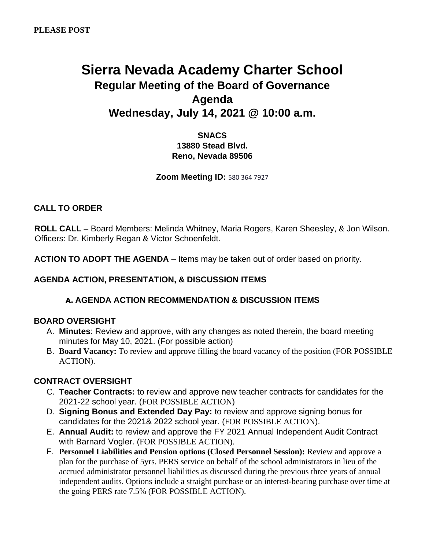# **Sierra Nevada Academy Charter School Regular Meeting of the Board of Governance Agenda Wednesday, July 14, 2021 @ 10:00 a.m.**

## **SNACS 13880 Stead Blvd. Reno, Nevada 89506**

**Zoom Meeting ID:** 580 364 7927

## **CALL TO ORDER**

**ROLL CALL –** Board Members: Melinda Whitney, Maria Rogers, Karen Sheesley, & Jon Wilson. Officers: Dr. Kimberly Regan & Victor Schoenfeldt.

**ACTION TO ADOPT THE AGENDA** – Items may be taken out of order based on priority.

#### **AGENDA ACTION, PRESENTATION, & DISCUSSION ITEMS**

#### **A. AGENDA ACTION RECOMMENDATION & DISCUSSION ITEMS**

#### **BOARD OVERSIGHT**

- A. **Minutes**: Review and approve, with any changes as noted therein, the board meeting minutes for May 10, 2021. (For possible action)
- B. **Board Vacancy:** To review and approve filling the board vacancy of the position (FOR POSSIBLE ACTION).

#### **CONTRACT OVERSIGHT**

- C. **Teacher Contracts:** to review and approve new teacher contracts for candidates for the 2021-22 school year. (FOR POSSIBLE ACTION)
- D. **Signing Bonus and Extended Day Pay:** to review and approve signing bonus for candidates for the 2021& 2022 school year. (FOR POSSIBLE ACTION).
- E. **Annual Audit:** to review and approve the FY 2021 Annual Independent Audit Contract with Barnard Vogler. (FOR POSSIBLE ACTION).
- F. **Personnel Liabilities and Pension options (Closed Personnel Session):** Review and approve a plan for the purchase of 5yrs. PERS service on behalf of the school administrators in lieu of the accrued administrator personnel liabilities as discussed during the previous three years of annual independent audits. Options include a straight purchase or an interest-bearing purchase over time at the going PERS rate 7.5% (FOR POSSIBLE ACTION).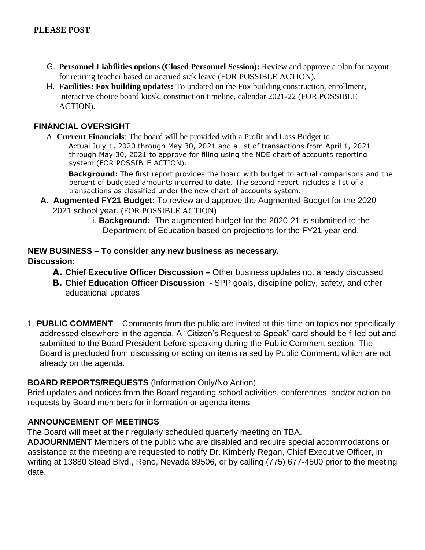- G. **Personnel Liabilities options (Closed Personnel Session):** Review and approve a plan for payout for retiring teacher based on accrued sick leave (FOR POSSIBLE ACTION).
- H. **Facilities: Fox building updates:** To updated on the Fox building construction, enrollment, interactive choice board kiosk, construction timeline, calendar 2021-22 (FOR POSSIBLE ACTION).

## **FINANCIAL OVERSIGHT**

A. **Current Financials**: The board will be provided with a Profit and Loss Budget to Actual July 1, 2020 through May 30, 2021 and a list of transactions from April 1, 2021 through May 30, 2021 to approve for filing using the NDE chart of accounts reporting system (FOR POSSIBLE ACTION).

**Background:** The first report provides the board with budget to actual comparisons and the percent of budgeted amounts incurred to date. The second report includes a list of all transactions as classified under the new chart of accounts system.

- **A. Augmented FY21 Budget:** To review and approve the Augmented Budget for the 2020- 2021 school year. (FOR POSSIBLE ACTION)
	- i. **Background:** The augmented budget for the 2020-21 is submitted to the Department of Education based on projections for the FY21 year end.

## **NEW BUSINESS – To consider any new business as necessary. Discussion:**

- **A. Chief Executive Officer Discussion –** Other business updates not already discussed
- **B. Chief Education Officer Discussion -** SPP goals, discipline policy, safety, and other educational updates
- 1. **PUBLIC COMMENT** Comments from the public are invited at this time on topics not specifically addressed elsewhere in the agenda. A "Citizen's Request to Speak" card should be filled out and submitted to the Board President before speaking during the Public Comment section. The Board is precluded from discussing or acting on items raised by Public Comment, which are not already on the agenda.

# **BOARD REPORTS/REQUESTS** (Information Only/No Action)

Brief updates and notices from the Board regarding school activities, conferences, and/or action on requests by Board members for information or agenda items.

# **ANNOUNCEMENT OF MEETINGS**

The Board will meet at their regularly scheduled quarterly meeting on TBA.

**ADJOURNMENT** Members of the public who are disabled and require special accommodations or assistance at the meeting are requested to notify Dr. Kimberly Regan, Chief Executive Officer, in writing at 13880 Stead Blvd., Reno, Nevada 89506, or by calling (775) 677-4500 prior to the meeting date.